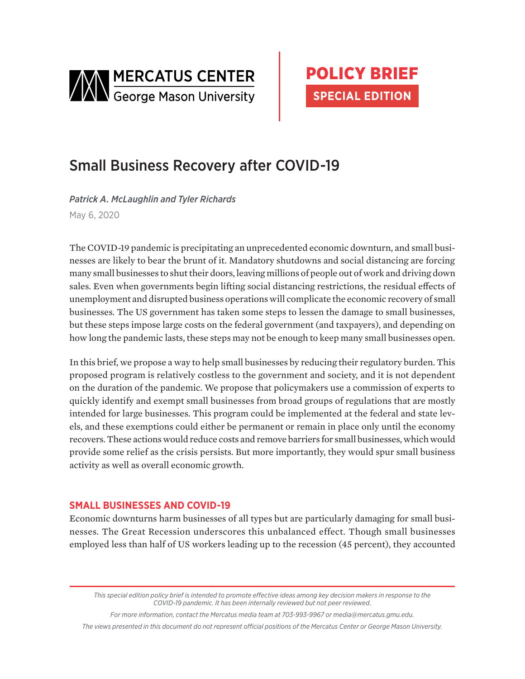



# Small Business Recovery after COVID-19

*Patrick A. McLaughlin and Tyler Richards* May 6, 2020

The COVID-19 pandemic is precipitating an unprecedented economic downturn, and small businesses are likely to bear the brunt of it. Mandatory shutdowns and social distancing are forcing many small businesses to shut their doors, leaving millions of people out of work and driving down sales. Even when governments begin lifting social distancing restrictions, the residual effects of unemployment and disrupted business operations will complicate the economic recovery of small businesses. The US government has taken some steps to lessen the damage to small businesses, but these steps impose large costs on the federal government (and taxpayers), and depending on how long the pandemic lasts, these steps may not be enough to keep many small businesses open.

In this brief, we propose a way to help small businesses by reducing their regulatory burden. This proposed program is relatively costless to the government and society, and it is not dependent on the duration of the pandemic. We propose that policymakers use a commission of experts to quickly identify and exempt small businesses from broad groups of regulations that are mostly intended for large businesses. This program could be implemented at the federal and state levels, and these exemptions could either be permanent or remain in place only until the economy recovers. These actions would reduce costs and remove barriers for small businesses, which would provide some relief as the crisis persists. But more importantly, they would spur small business activity as well as overall economic growth.

## **SMALL BUSINESSES AND COVID-19**

Economic downturns harm businesses of all types but are particularly damaging for small businesses. The Great Recession underscores this unbalanced effect. Though small businesses employed less than half of US workers leading up to the recession (45 percent), they accounted

*This special edition policy brief is intended to promote effective ideas among key decision makers in response to the COVID-19 pandemic. It has been internally reviewed but not peer reviewed.*

*For more information, contact the Mercatus media team at 703-993-9967 o[r media@mercatus.gmu.edu.](mailto: media@mercatus.gmu.edu)*

*The views presented in this document do not represent official positions of the Mercatus Center or George Mason University.*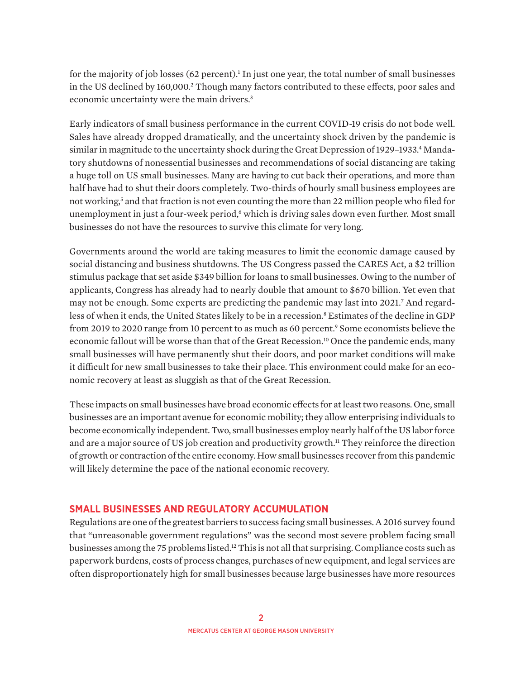for the majority of job losses (62 percent).<sup>1</sup> In just one year, the total number of small businesses in the US declined by 160,000.<sup>2</sup> Though many factors contributed to these effects, poor sales and economic uncertainty were the main drivers.<sup>3</sup>

Early indicators of small business performance in the current COVID-19 crisis do not bode well. Sales have already dropped dramatically, and the uncertainty shock driven by the pandemic is similar in magnitude to the uncertainty shock during the Great Depression of 1929–1933.4 Mandatory shutdowns of nonessential businesses and recommendations of social distancing are taking a huge toll on US small businesses. Many are having to cut back their operations, and more than half have had to shut their doors completely. Two-thirds of hourly small business employees are not working,<sup>5</sup> and that fraction is not even counting the more than 22 million people who filed for unemployment in just a four-week period, $\delta$  which is driving sales down even further. Most small businesses do not have the resources to survive this climate for very long.

Governments around the world are taking measures to limit the economic damage caused by social distancing and business shutdowns. The US Congress passed the CARES Act, a \$2 trillion stimulus package that set aside \$349 billion for loans to small businesses. Owing to the number of applicants, Congress has already had to nearly double that amount to \$670 billion. Yet even that may not be enough. Some experts are predicting the pandemic may last into 2021.7 And regardless of when it ends, the United States likely to be in a recession.8 Estimates of the decline in GDP from 2019 to 2020 range from 10 percent to as much as 60 percent.<sup>9</sup> Some economists believe the economic fallout will be worse than that of the Great Recession.10 Once the pandemic ends, many small businesses will have permanently shut their doors, and poor market conditions will make it difficult for new small businesses to take their place. This environment could make for an economic recovery at least as sluggish as that of the Great Recession.

These impacts on small businesses have broad economic effects for at least two reasons. One, small businesses are an important avenue for economic mobility; they allow enterprising individuals to become economically independent. Two, small businesses employ nearly half of the US labor force and are a major source of US job creation and productivity growth.<sup>11</sup> They reinforce the direction of growth or contraction of the entire economy. How small businesses recover from this pandemic will likely determine the pace of the national economic recovery.

## **SMALL BUSINESSES AND REGULATORY ACCUMULATION**

Regulations are one of the greatest barriers to success facing small businesses. A 2016 survey found that "unreasonable government regulations" was the second most severe problem facing small businesses among the 75 problems listed.<sup>12</sup> This is not all that surprising. Compliance costs such as paperwork burdens, costs of process changes, purchases of new equipment, and legal services are often disproportionately high for small businesses because large businesses have more resources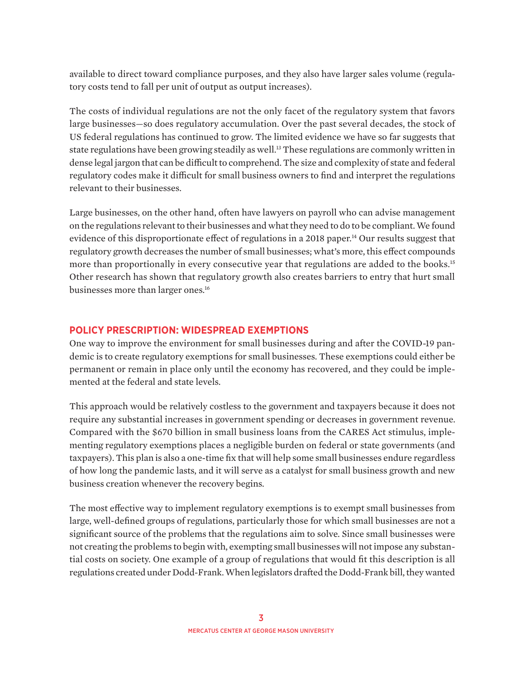available to direct toward compliance purposes, and they also have larger sales volume (regulatory costs tend to fall per unit of output as output increases).

The costs of individual regulations are not the only facet of the regulatory system that favors large businesses—so does regulatory accumulation. Over the past several decades, the stock of US federal regulations has continued to grow. The limited evidence we have so far suggests that state regulations have been growing steadily as well.<sup>13</sup> These regulations are commonly written in dense legal jargon that can be difficult to comprehend. The size and complexity of state and federal regulatory codes make it difficult for small business owners to find and interpret the regulations relevant to their businesses.

Large businesses, on the other hand, often have lawyers on payroll who can advise management on the regulations relevant to their businesses and what they need to do to be compliant. We found evidence of this disproportionate effect of regulations in a 2018 paper.<sup>14</sup> Our results suggest that regulatory growth decreases the number of small businesses; what's more, this effect compounds more than proportionally in every consecutive year that regulations are added to the books.<sup>15</sup> Other research has shown that regulatory growth also creates barriers to entry that hurt small businesses more than larger ones.<sup>16</sup>

## **POLICY PRESCRIPTION: WIDESPREAD EXEMPTIONS**

One way to improve the environment for small businesses during and after the COVID-19 pandemic is to create regulatory exemptions for small businesses. These exemptions could either be permanent or remain in place only until the economy has recovered, and they could be implemented at the federal and state levels.

This approach would be relatively costless to the government and taxpayers because it does not require any substantial increases in government spending or decreases in government revenue. Compared with the \$670 billion in small business loans from the CARES Act stimulus, implementing regulatory exemptions places a negligible burden on federal or state governments (and taxpayers). This plan is also a one-time fix that will help some small businesses endure regardless of how long the pandemic lasts, and it will serve as a catalyst for small business growth and new business creation whenever the recovery begins.

The most effective way to implement regulatory exemptions is to exempt small businesses from large, well-defined groups of regulations, particularly those for which small businesses are not a significant source of the problems that the regulations aim to solve. Since small businesses were not creating the problems to begin with, exempting small businesses will not impose any substantial costs on society. One example of a group of regulations that would fit this description is all regulations created under Dodd-Frank. When legislators drafted the Dodd-Frank bill, they wanted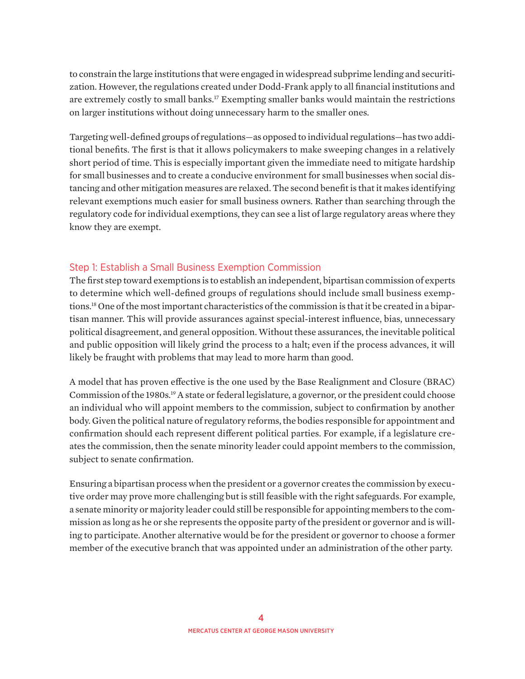to constrain the large institutions that were engaged in widespread subprime lending and securitization. However, the regulations created under Dodd-Frank apply to all financial institutions and are extremely costly to small banks.<sup>17</sup> Exempting smaller banks would maintain the restrictions on larger institutions without doing unnecessary harm to the smaller ones.

Targeting well-defined groups of regulations—as opposed to individual regulations—has two additional benefits. The first is that it allows policymakers to make sweeping changes in a relatively short period of time. This is especially important given the immediate need to mitigate hardship for small businesses and to create a conducive environment for small businesses when social distancing and other mitigation measures are relaxed. The second benefit is that it makes identifying relevant exemptions much easier for small business owners. Rather than searching through the regulatory code for individual exemptions, they can see a list of large regulatory areas where they know they are exempt.

## Step 1: Establish a Small Business Exemption Commission

The first step toward exemptions is to establish an independent, bipartisan commission of experts to determine which well-defined groups of regulations should include small business exemptions.18 One of the most important characteristics of the commission is that it be created in a bipartisan manner. This will provide assurances against special-interest influence, bias, unnecessary political disagreement, and general opposition. Without these assurances, the inevitable political and public opposition will likely grind the process to a halt; even if the process advances, it will likely be fraught with problems that may lead to more harm than good.

A model that has proven effective is the one used by the Base Realignment and Closure (BRAC) Commission of the 1980s.<sup>19</sup> A state or federal legislature, a governor, or the president could choose an individual who will appoint members to the commission, subject to confirmation by another body. Given the political nature of regulatory reforms, the bodies responsible for appointment and confirmation should each represent different political parties. For example, if a legislature creates the commission, then the senate minority leader could appoint members to the commission, subject to senate confirmation.

Ensuring a bipartisan process when the president or a governor creates the commission by executive order may prove more challenging but is still feasible with the right safeguards. For example, a senate minority or majority leader could still be responsible for appointing members to the commission as long as he or she represents the opposite party of the president or governor and is willing to participate. Another alternative would be for the president or governor to choose a former member of the executive branch that was appointed under an administration of the other party.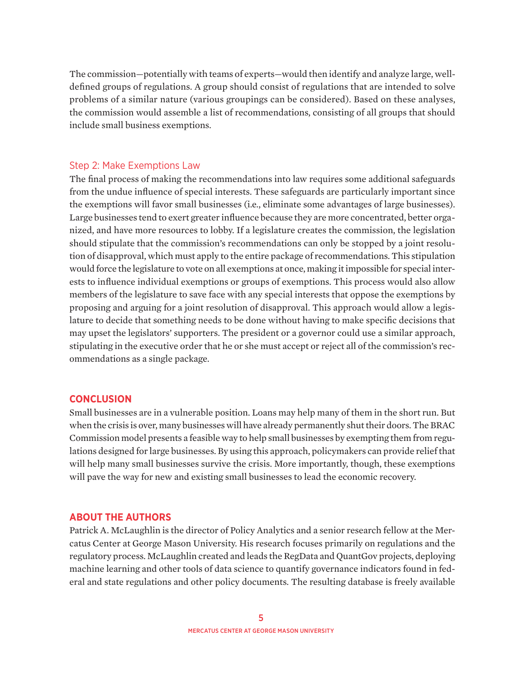The commission—potentially with teams of experts—would then identify and analyze large, welldefined groups of regulations. A group should consist of regulations that are intended to solve problems of a similar nature (various groupings can be considered). Based on these analyses, the commission would assemble a list of recommendations, consisting of all groups that should include small business exemptions.

#### Step 2: Make Exemptions Law

The final process of making the recommendations into law requires some additional safeguards from the undue influence of special interests. These safeguards are particularly important since the exemptions will favor small businesses (i.e., eliminate some advantages of large businesses). Large businesses tend to exert greater influence because they are more concentrated, better organized, and have more resources to lobby. If a legislature creates the commission, the legislation should stipulate that the commission's recommendations can only be stopped by a joint resolution of disapproval, which must apply to the entire package of recommendations. This stipulation would force the legislature to vote on all exemptions at once, making it impossible for special interests to influence individual exemptions or groups of exemptions. This process would also allow members of the legislature to save face with any special interests that oppose the exemptions by proposing and arguing for a joint resolution of disapproval. This approach would allow a legislature to decide that something needs to be done without having to make specific decisions that may upset the legislators' supporters. The president or a governor could use a similar approach, stipulating in the executive order that he or she must accept or reject all of the commission's recommendations as a single package.

#### **CONCLUSION**

Small businesses are in a vulnerable position. Loans may help many of them in the short run. But when the crisis is over, many businesses will have already permanently shut their doors. The BRAC Commission model presents a feasible way to help small businesses by exempting them from regulations designed for large businesses. By using this approach, policymakers can provide relief that will help many small businesses survive the crisis. More importantly, though, these exemptions will pave the way for new and existing small businesses to lead the economic recovery.

#### **ABOUT THE AUTHORS**

Patrick A. McLaughlin is the director of Policy Analytics and a senior research fellow at the Mercatus Center at George Mason University. His research focuses primarily on regulations and the regulatory process. McLaughlin created and leads the RegData and QuantGov projects, deploying machine learning and other tools of data science to quantify governance indicators found in federal and state regulations and other policy documents. The resulting database is freely available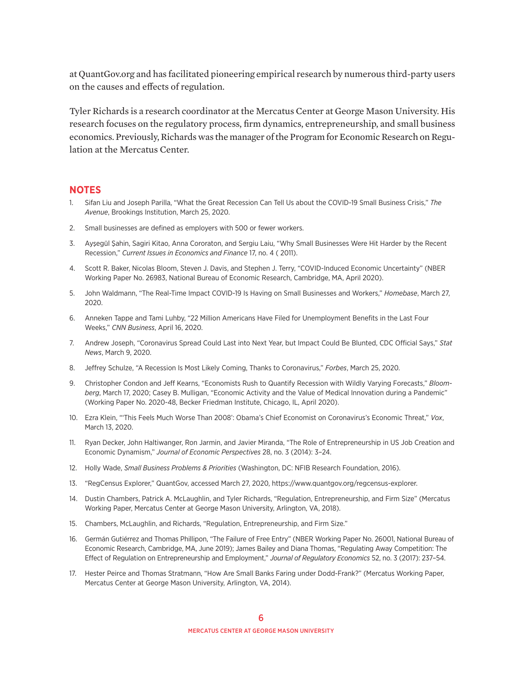at QuantGov.org and has facilitated pioneering empirical research by numerous third-party users on the causes and effects of regulation.

Tyler Richards is a research coordinator at the Mercatus Center at George Mason University. His research focuses on the regulatory process, firm dynamics, entrepreneurship, and small business economics. Previously, Richards was the manager of the Program for Economic Research on Regulation at the Mercatus Center.

### **NOTES**

- 1. Sifan Liu and Joseph Parilla, "What the Great Recession Can Tell Us about the COVID-19 Small Business Crisis," *The Avenue*, Brookings Institution, March 25, 2020.
- 2. Small businesses are defined as employers with 500 or fewer workers.
- 3. Ayşegül Şahin, Sagiri Kitao, Anna Cororaton, and Sergiu Laiu, "Why Small Businesses Were Hit Harder by the Recent Recession," *Current Issues in Economics and Finance* 17, no. 4 ( 2011).
- 4. Scott R. Baker, Nicolas Bloom, Steven J. Davis, and Stephen J. Terry, "COVID-Induced Economic Uncertainty" (NBER Working Paper No. 26983, National Bureau of Economic Research, Cambridge, MA, April 2020).
- 5. John Waldmann, "The Real-Time Impact COVID-19 Is Having on Small Businesses and Workers," *Homebase*, March 27, 2020.
- 6. Anneken Tappe and Tami Luhby, "22 Million Americans Have Filed for Unemployment Benefits in the Last Four Weeks," *CNN Business*, April 16, 2020.
- 7. Andrew Joseph, "Coronavirus Spread Could Last into Next Year, but Impact Could Be Blunted, CDC Official Says," *Stat News*, March 9, 2020.
- 8. Jeffrey Schulze, "A Recession Is Most Likely Coming, Thanks to Coronavirus," *Forbes*, March 25, 2020.
- 9. Christopher Condon and Jeff Kearns, "Economists Rush to Quantify Recession with Wildly Varying Forecasts," *Bloomberg*, March 17, 2020; Casey B. Mulligan, "Economic Activity and the Value of Medical Innovation during a Pandemic" (Working Paper No. 2020-48, Becker Friedman Institute, Chicago, IL, April 2020).
- 10. Ezra Klein, "'This Feels Much Worse Than 2008': Obama's Chief Economist on Coronavirus's Economic Threat," *Vox*, March 13, 2020.
- 11. Ryan Decker, John Haltiwanger, Ron Jarmin, and Javier Miranda, "The Role of Entrepreneurship in US Job Creation and Economic Dynamism," *Journal of Economic Perspectives* 28, no. 3 (2014): 3–24.
- 12. Holly Wade, *Small Business Problems & Priorities* (Washington, DC: NFIB Research Foundation, 2016).
- 13. "RegCensus Explorer," QuantGov, accessed March 27, 2020, [https://www.quantgov.org/regcensus-explorer.](https://www.quantgov.org/regcensus-explorer)
- 14. Dustin Chambers, Patrick A. McLaughlin, and Tyler Richards, "Regulation, Entrepreneurship, and Firm Size" (Mercatus Working Paper, Mercatus Center at George Mason University, Arlington, VA, 2018).
- 15. Chambers, McLaughlin, and Richards, "Regulation, Entrepreneurship, and Firm Size."
- 16. Germán Gutiérrez and Thomas Phillipon, "The Failure of Free Entry" (NBER Working Paper No. 26001, National Bureau of Economic Research, Cambridge, MA, June 2019); James Bailey and Diana Thomas, "Regulating Away Competition: The Effect of Regulation on Entrepreneurship and Employment," *Journal of Regulatory Economics* 52, no. 3 (2017): 237–54.
- 17. Hester Peirce and Thomas Stratmann, "How Are Small Banks Faring under Dodd-Frank?" (Mercatus Working Paper, Mercatus Center at George Mason University, Arlington, VA, 2014).